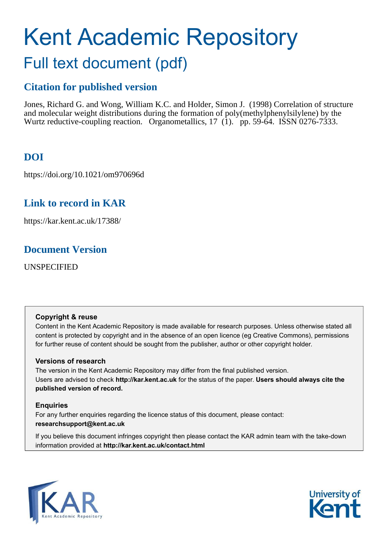# Kent Academic Repository Full text document (pdf)

# **Citation for published version**

Jones, Richard G. and Wong, William K.C. and Holder, Simon J. (1998) Correlation of structure and molecular weight distributions during the formation of poly(methylphenylsilylene) by the Wurtz reductive-coupling reaction. Organometallics,  $17$   $(\hat{1})$ . pp. 59-64. ISSN 0276-7333.

# **DOI**

https://doi.org/10.1021/om970696d

# **Link to record in KAR**

https://kar.kent.ac.uk/17388/

# **Document Version**

UNSPECIFIED

## **Copyright & reuse**

Content in the Kent Academic Repository is made available for research purposes. Unless otherwise stated all content is protected by copyright and in the absence of an open licence (eg Creative Commons), permissions for further reuse of content should be sought from the publisher, author or other copyright holder.

## **Versions of research**

The version in the Kent Academic Repository may differ from the final published version. Users are advised to check **http://kar.kent.ac.uk** for the status of the paper. **Users should always cite the published version of record.**

## **Enquiries**

For any further enquiries regarding the licence status of this document, please contact: **researchsupport@kent.ac.uk**

If you believe this document infringes copyright then please contact the KAR admin team with the take-down information provided at **http://kar.kent.ac.uk/contact.html**



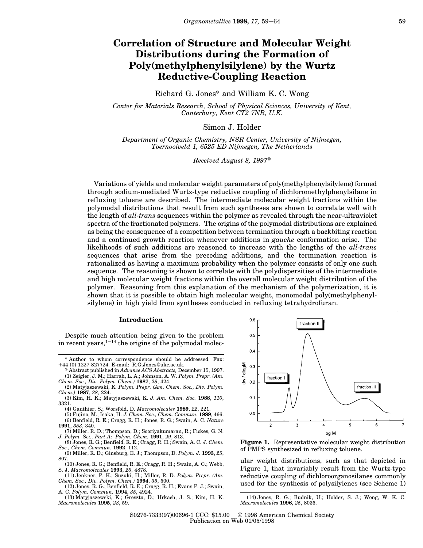## **Correlation of Structure and Molecular Weight Distributions during the Formation of Poly(methylphenylsilylene) by the Wurtz Reductive-Coupling Reaction**

Richard G. Jones\* and William K. C. Wong

*Center for Materials Research, School of Physical Sciences, University of Kent, Canterbury, Kent CT2 7NR, U.K.*

## Simon J. Holder

*Department of Organic Chemistry, NSR Center, University of Nijmegen, Toernooiveld 1, 6525 ED Nijmegen, The Netherlands*

*Received August 8, 1997*<sup>X</sup>

Variations of yields and molecular weight parameters of poly(methylphenylsilylene) formed through sodium-mediated Wurtz-type reductive coupling of dichloromethylphenylsilane in refluxing toluene are described. The intermediate molecular weight fractions within the polymodal distributions that result from such syntheses are shown to correlate well with the length of *all-trans* sequences within the polymer as revealed through the near-ultraviolet spectra of the fractionated polymers. The origins of the polymodal distributions are explained as being the consequence of a competition between termination through a backbiting reaction and a continued growth reaction whenever additions in *gauche* conformation arise. The likelihoods of such additions are reasoned to increase with the lengths of the *all-trans* sequences that arise from the preceding additions, and the termination reaction is rationalized as having a maximum probability when the polymer consists of only one such sequence. The reasoning is shown to correlate with the polydispersities of the intermediate and high molecular weight fractions within the overall molecular weight distribution of the polymer. Reasoning from this explanation of the mechanism of the polymerization, it is shown that it is possible to obtain high molecular weight, monomodal poly(methylphenylsilylene) in high yield from syntheses conducted in refluxing tetrahydrofuran.

### **Introduction**

Despite much attention being given to the problem in recent years, $1-14$  the origins of the polymodal molec-

- \* Author to whom correspondence should be addressed. Fax: +44 (0) 1227 827724. E-mail: R.G.Jones@ukc.ac.uk.
- <sup>X</sup> Abstract published in *Advance ACS Abstracts,* December 15, 1997. (1) Zeigler, J. M.; Harrah, L. A.; Johnson, A. W. *Polym. Prepr. (Am. Chem. Soc., Div. Polym. Chem.)* **1987**, *28*, 424.
- (2) Matyjaszewski, K. *Polym. Prepr. (Am. Chem. Soc., Div. Polym. Chem.)* **1987**, *28*, 224.
- (3) Kim, H. K.; Matyjaszewski, K. *J. Am. Chem. Soc.* **1988**, *110*, 3321.
	- (4) Gauthier, S.; Worsfold, D. *Macromolecules* **1989**, *22*, 221.
- (5) Fujino, M.; Isaka, H. *J. Chem. Soc., Chem. Commun.* **1989**, 466. (6) Benfield, R. E.; Cragg, R. H.; Jones, R. G.; Swain, A. C. *Nature* **1991**, *353*, 340.
- (7) Miller, R. D.; Thompson, D.; Sooriyakumaran, R.; Fickes, G. N. *J. Polym. Sci., Part A: Polym. Chem.* **1991**, *29*, 813.
- (8) Jones, R. G.; Benfield, R. E.; Cragg, R. H.; Swain, A. C. *J. Chem. Soc., Chem. Commun.* **1992**, 112.
- (9) Miller, R. D.; Ginsburg, E. J.; Thompson, D. *Polym. J.* **1993**, *25*, 807.
- (10) Jones, R. G.; Benfield, R. E.; Cragg, R. H.; Swain, A. C.; Webb, S. J. *Macromolecules* **1993**, *26*, 4878.
- (11) Jenkner, P. K.; Suzuki, H.; Miller, R. D. *Polym. Prepr. (Am. Chem. Soc., Div. Polym. Chem.)* **1994**, *35*, 500.
- (12) Jones, R. G.; Benfield, R. E.; Cragg, R. H.; Evans P. J.; Swain, A. C. *Polym. Commun.* **1994**, *35*, 4924.
- (13) Matyjaszewski, K.; Greszta, D.; Hrkach, J. S.; Kim, H. K. *Macromolecules* **1995**, *28*, 59.



**Figure 1.** Representative molecular weight distribution of PMPS synthesized in refluxing toluene.

ular weight distributions, such as that depicted in Figure 1, that invariably result from the Wurtz-type reductive coupling of dichloroorganosilanes commonly used for the synthesis of polysilylenes (see Scheme 1)

S0276-7333(97)00696-1 CCC: \$15.00 © 1998 American Chemical Society Publication on Web 01/05/1998

<sup>(14)</sup> Jones, R. G.; Budnik, U.; Holder, S. J.; Wong, W. K. C. *Macromolecules* **1996**, *25*, 8036.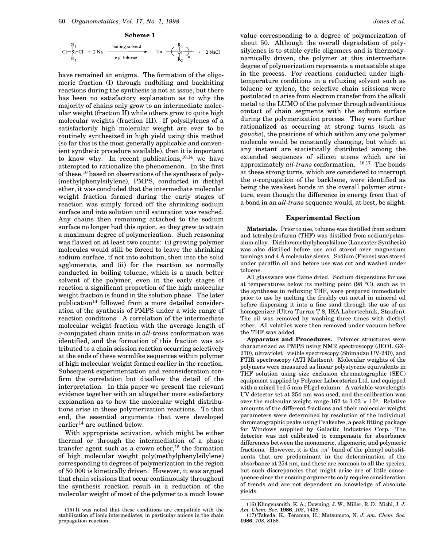#### **Scheme 1**



have remained an enigma. The formation of the oligomeric fraction (I) through endbiting and backbiting reactions during the synthesis is not at issue, but there has been no satisfactory explanation as to why the majority of chains only grow to an intermediate molecular weight (fraction II) while others grow to quite high molecular weights (fraction III). If polysilylenes of a satisfactorily high molecular weight are ever to be routinely synthesized in high yield using this method (so far this is the most generally applicable and convenient synthetic procedure available), then it is important to know why. In recent publications,  $10,14$  we have attempted to rationalize the phenomenon. In the first of these,<sup>10</sup> based on observations of the synthesis of poly- (methylphenylsilylene), PMPS, conducted in diethyl ether, it was concluded that the intermediate molecular weight fraction formed during the early stages of reaction was simply forced off the shrinking sodium surface and into solution until saturation was reached. Any chains then remaining attached to the sodium surface no longer had this option, so they grew to attain a maximum degree of polymerization. Such reasoning was flawed on at least two counts: (i) growing polymer molecules would still be forced to leave the shrinking sodium surface, if not into solution, then into the solid agglomerate, and (ii) for the reaction as normally conducted in boiling toluene, which is a much better solvent of the polymer, even in the early stages of reaction a significant proportion of the high molecular weight fraction is found in the solution phase. The later publication<sup>14</sup> followed from a more detailed consideration of the synthesis of PMPS under a wide range of reaction conditions. A correlation of the intermediate molecular weight fraction with the average length of σ-conjugated chain units in *all-trans* conformation was identified, and the formation of this fraction was attributed to a chain scission reaction occurring selectively at the ends of these wormlike sequences within polymer of high molecular weight formed earlier in the reaction. Subsequent experimentation and reconsideration confirm the correlation but disallow the detail of the interpretation. In this paper we present the relevant evidence together with an altogether more satisfactory explanation as to how the molecular weight distributions arise in these polymerization reactions. To that end, the essential arguments that were developed earlier<sup>14</sup> are outlined below.

With appropriate activation, which might be either thermal or through the intermediation of a phase transfer agent such as a crown ether,<sup>15</sup> the formation of high molecular weight poly(methylphenylsilylene) corresponding to degrees of polymerization in the region of 50 000 is kinetically driven. However, it was argued that chain scissions that occur continuously throughout the synthesis reaction result in a reduction of the molecular weight of most of the polymer to a much lower

value corresponding to a degree of polymerization of about 50. Although the overall degradation of polysilylenes is to stable cyclic oligomers and is thermodynamically driven, the polymer at this intermediate degree of polymerization represents a metastable stage in the process. For reactions conducted under hightemperature conditions in a refluxing solvent such as toluene or xylene, the selective chain scissions were postulated to arise from electron transfer from the alkali metal to the LUMO of the polymer through adventitious contact of chain segments with the sodium surface during the polymerization process. They were further rationalized as occurring at strong turns (such as *gauche*), the positions of which within any one polymer molecule would be constantly changing, but which at any instant are statistically distributed among the extended sequences of silicon atoms which are in approximately *all-trans* conformation. 16,17 The bonds at these strong turns, which are considered to interrupt the  $\sigma$ -conjugation of the backbone, were identified as being the weakest bonds in the overall polymer structure, even though the difference in energy from that of a bond in an *all-trans* sequence would, at best, be slight.

### **Experimental Section**

**Materials.** Prior to use, toluene was distilled from sodium and tetrahydrofuran (THF) was distilled from sodium/potassium alloy. Dichloromethylphenylsilane (Lancaster Synthesis) was also distilled before use and stored over magnesium turnings and 4 Å molecular sieves. Sodium (Fisons) was stored under paraffin oil and before use was cut and washed under toluene.

All glassware was flame dried. Sodium dispersions for use at temperatures below its melting point (98 °C), such as in the syntheses in refluxing THF, were prepared immediately prior to use by melting the freshly cut metal in mineral oil before dispersing it into a fine sand through the use of an homogenizer (Ultra-Turrax T 8, IKA Labortechnik, Staufen). The oil was removed by washing three times with diethyl ether. All volatiles were then removed under vacuum before the THF was added.

**Apparatus and Procedures.** Polymer structures were characterized as PMPS using NMR spectroscopy (JEOL GX-270), ultraviolet-visible spectroscopy (Shimadzu UV-240), and FTIR spectroscopy (ATI Mattson). Molecular weights of the polymers were measured as linear polystyrene equivalents in THF solution using size exclusion chromatographic (SEC) equipment supplied by Polymer Laboratories Ltd. and equipped with a mixed bed 5 mm PLgel column. A variable-wavelength UV detector set at 254 nm was used, and the calibration was over the molecular weight range  $162$  to  $1.03 \times 10^6$ . Relative amounts of the different fractions and their molecular weight parameters were determined by resolution of the individual chromatographic peaks using Peaksolve, a peak fitting package for Windows supplied by Galactic Industries Corp. The detector was not calibrated to compensate for absorbance differences between the monomeric, oligomeric, and polymeric fractions. However, it is the  $\pi\pi^*$  band of the phenyl substituents that are predominant in the determination of the absorbance at 254 nm, and these are common to all the species, but such discrepancies that might arise are of little consequence since the ensuing arguments only require consideration of trends and are not dependent on knowledge of absolute yields.

<sup>(15)</sup> It was noted that these conditions are compatible with the stabilization of ionic intermediates, in particular anions in the chain propagation reaction.

<sup>(16)</sup> Klingensmith, K. A.; Downing, J. W.; Miller, R. D.; Michl, J. *J. Am. Chem. Soc.* **1986**, *108*, 7438.

<sup>(17)</sup> Takeda, K.; Teramae, H.; Matsumoto, N. *J. Am. Chem. Soc.* **1986**, *108*, 8186.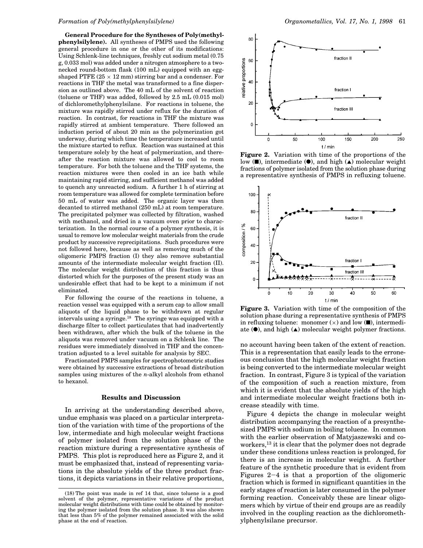**General Procedure for the Syntheses of Poly(methylphenylsilylene).** All syntheses of PMPS used the following general procedure in one or the other of its modifications: Using Schlenk-line techniques, freshly cut sodium metal (0.75 g, 0.033 mol) was added under a nitrogen atmosphere to a twonecked round-bottom flask (100 mL) equipped with an eggshaped PTFE  $(25 \times 12 \text{ mm})$  stirring bar and a condenser. For reactions in THF the metal was transformed to a fine dispersion as outlined above. The 40 mL of the solvent of reaction (toluene or THF) was added, followed by 2.5 mL (0.015 mol) of dichloromethylphenylsilane. For reactions in toluene, the mixture was rapidly stirred under reflux for the duration of reaction. In contrast, for reactions in THF the mixture was rapidly stirred at ambient temperature. There followed an induction period of about 20 min as the polymerization got underway, during which time the temperature increased until the mixture started to reflux. Reaction was sustained at this temperature solely by the heat of polymerization, and thereafter the reaction mixture was allowed to cool to room temperature. For both the toluene and the THF systems, the reaction mixtures were then cooled in an ice bath while maintaining rapid stirring, and sufficient methanol was added to quench any unreacted sodium. A further 1 h of stirring at room temperature was allowed for complete termination before 50 mL of water was added. The organic layer was then decanted to stirred methanol (250 mL) at room temperature. The precipitated polymer was collected by filtration, washed with methanol, and dried in a vacuum oven prior to characterization. In the normal course of a polymer synthesis, it is usual to remove low molecular weight materials from the crude product by successive reprecipitations. Such procedures were not followed here, because as well as removing much of the oligomeric PMPS fraction (I) they also remove substantial amounts of the intermediate molecular weight fraction (II). The molecular weight distribution of this fraction is thus distorted which for the purposes of the present study was an undesirable effect that had to be kept to a minimum if not eliminated.

For following the course of the reactions in toluene, a reaction vessel was equipped with a serum cap to allow small aliquots of the liquid phase to be withdrawn at regular intervals using a syringe.<sup>18</sup> The syringe was equipped with a discharge filter to collect particulates that had inadvertently been withdrawn, after which the bulk of the toluene in the aliquots was removed under vacuum on a Schlenk line. The residues were immediately dissolved in THF and the concentration adjusted to a level suitable for analysis by SEC.

Fractionated PMPS samples for spectrophotometric studies were obtained by successive extractions of broad distribution samples using mixtures of the *n*-alkyl alcohols from ethanol to hexanol.

#### **Results and Discussion**

In arriving at the understanding described above, undue emphasis was placed on a particular interpretation of the variation with time of the proportions of the low, intermediate and high molecular weight fractions of polymer isolated from the solution phase of the reaction mixture during a representative synthesis of PMPS. This plot is reproduced here as Figure 2, and it must be emphasized that, instead of representing variations in the absolute yields of the three product fractions, it depicts variations in their relative proportions,



**Figure 2.** Variation with time of the proportions of the low  $(\blacksquare)$ , intermediate  $(\lozenge)$ , and high  $(\blacktriangle)$  molecular weight fractions of polymer isolated from the solution phase during a representative synthesis of PMPS in refluxing toluene.



**Figure 3.** Variation with time of the composition of the solution phase during a representative synthesis of PMPS in refluxing toluene: monomer  $(x)$  and low  $(\blacksquare)$ , intermediate  $(\bullet)$ , and high  $(\bullet)$  molecular weight polymer fractions.

no account having been taken of the extent of reaction. This is a representation that easily leads to the erroneous conclusion that the high molecular weight fraction is being converted to the intermediate molecular weight fraction. In contrast, Figure 3 is typical of the variation of the composition of such a reaction mixture, from which it is evident that the absolute yields of the high and intermediate molecular weight fractions both increase steadily with time.

Figure 4 depicts the change in molecular weight distribution accompanying the reaction of a presynthesized PMPS with sodium in boiling toluene. In common with the earlier observation of Matyjaszewski and coworkers,<sup>13</sup> it is clear that the polymer does not degrade under these conditions unless reaction is prolonged, for there is an increase in molecular weight. A further feature of the synthetic procedure that is evident from Figures  $2-4$  is that a proportion of the oligomeric fraction which is formed in significant quantities in the early stages of reaction is later consumed in the polymer forming reaction. Conceivably these are linear oligomers which by virtue of their end groups are as readily involved in the coupling reaction as the dichloromethylphenylsilane precursor.

<sup>(18)</sup> The point was made in ref 14 that, since toluene is a good solvent of the polymer, representative variations of the product molecular weight distributions with time could be obtained by monitoring the polymer isolated from the solution phase. It was also shown that less than 5% of the polymer remained associated with the solid phase at the end of reaction.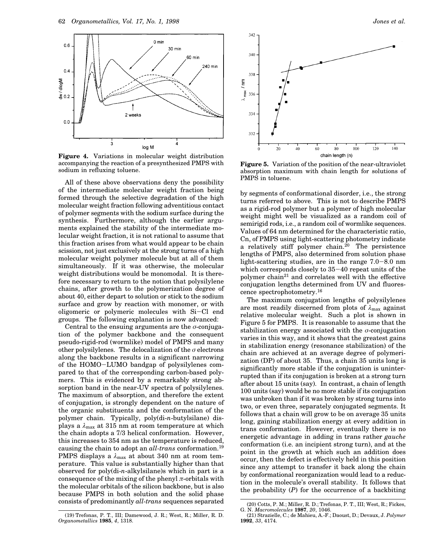

**Figure 4.** Variations in molecular weight distribution accompanying the reaction of a presynthesized PMPS with sodium in refluxing toluene.

All of these above observations deny the possibility of the intermediate molecular weight fraction being formed through the selective degradation of the high molecular weight fraction following adventitious contact of polymer segments with the sodium surface during the synthesis. Furthermore, although the earlier arguments explained the stability of the intermediate molecular weight fraction, it is not rational to assume that this fraction arises from what would appear to be chain scission, not just exclusively at the strong turns of a high molecular weight polymer molecule but at all of them simultaneously. If it was otherwise, the molecular weight distributions would be monomodal. It is therefore necessary to return to the notion that polysilylene chains, after growth to the polymerization degree of about 40, either depart to solution or stick to the sodium surface and grow by reaction with monomer, or with oligomeric or polymeric molecules with Si-Cl end groups. The following explanation is now advanced:

Central to the ensuing arguments are the  $\sigma$ -conjugation of the polymer backbone and the consequent pseudo-rigid-rod (wormlike) model of PMPS and many other polysilylenes. The delocalization of the  $\sigma$  electrons along the backbone results in a significant narrowing of the HOMO-LUMO bandgap of polysilylenes compared to that of the corresponding carbon-based polymers. This is evidenced by a remarkably strong absorption band in the near-UV spectra of polysilylenes. The maximum of absorption, and therefore the extent of conjugation, is strongly dependent on the nature of the organic substituents and the conformation of the polymer chain. Typically, poly(di-*n*-butylsilane) displays a  $\lambda_{\text{max}}$  at 315 nm at room temperature at which the chain adopts a 7/3 helical conformation. However, this increases to 354 nm as the temperature is reduced, causing the chain to adopt an *all-trans* conformation.<sup>19</sup> PMPS displays a  $\lambda_{\text{max}}$  at about 340 nm at room temperature. This value is substantially higher than that observed for poly(di-*n*-alkylsilane)s which in part is a consequence of the mixing of the phenyl  $\pi$ -orbitals with the molecular orbitals of the silicon backbone, but is also because PMPS in both solution and the solid phase consists of predominantly *all-trans* sequences separated





**Figure 5.** Variation of the position of the near-ultraviolet absorption maximum with chain length for solutions of PMPS in toluene.

by segments of conformational disorder, i.e., the strong turns referred to above. This is not to describe PMPS as a rigid-rod polymer but a polymer of high molecular weight might well be visualized as a random coil of semirigid rods, i.e., a random coil of wormlike sequences. Values of 64 nm determined for the characteristic ratio, Cn, of PMPS using light-scattering photometry indicate a relatively stiff polymer chain.<sup>20</sup> The persistence lengths of PMPS, also determined from solution phase light-scattering studies, are in the range 7.0-8.0 nm which corresponds closely to 35-40 repeat units of the polymer chain<sup>21</sup> and correlates well with the effective conjugation lengths determined from UV and fluorescence spectrophotometry.<sup>16</sup>

The maximum conjugation lengths of polysilylenes are most readily discerned from plots of  $\lambda_{\text{max}}$  against relative molecular weight. Such a plot is shown in Figure 5 for PMPS. It is reasonable to assume that the stabilization energy associated with the  $\sigma$ -conjugation varies in this way, and it shows that the greatest gains in stabilization energy (resonance stabilization) of the chain are achieved at an average degree of polymerization (DP) of about 35. Thus, a chain 35 units long is significantly more stable if the conjugation is uninterrupted than if its conjugation is broken at a strong turn after about 15 units (say). In contrast, a chain of length 100 units (say) would be no more stable if its conjugation was unbroken than if it was broken by strong turns into two, or even three, separately conjugated segments. It follows that a chain will grow to be on average 35 units long, gaining stabilization energy at every addition in trans conformation. However, eventually there is no energetic advantage in adding in trans rather *gauche* conformation (i.e. an incipient strong turn), and at the point in the growth at which such an addition does occur, then the defect is effectively held in this position since any attempt to transfer it back along the chain by conformational reorganization would lead to a reduction in the molecule's overall stability. It follows that the probability  $(P)$  for the occurrence of a backbiting

<sup>(20)</sup> Cotts, P. M.; Miller, R. D.; Trefonas, P. T., III; West, R.; Fickes, G. N. *Macromolecules* **1987**, *20*, 1046.

<sup>(21)</sup> Strazielle, C.; de Mahieu, A.-F.; Daoust, D.; Devaux, J. *Polymer* **1992**, *33*, 4174.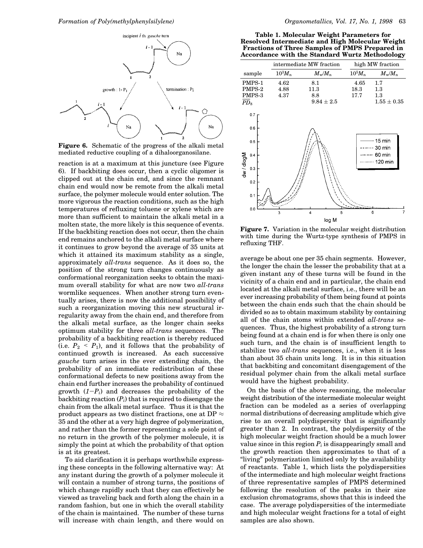

**Figure 6.** Schematic of the progress of the alkali metal mediated reductive coupling of a dihaloorganosilane.

reaction is at a maximum at this juncture (see Figure 6). If backbiting does occur, then a cyclic oligomer is clipped out at the chain end, and since the remnant chain end would now be remote from the alkali metal surface, the polymer molecule would enter solution. The more vigorous the reaction conditions, such as the high temperatures of refluxing toluene or xylene which are more than sufficient to maintain the alkali metal in a molten state, the more likely is this sequence of events. If the backbiting reaction does not occur, then the chain end remains anchored to the alkali metal surface where it continues to grow beyond the average of 35 units at which it attained its maximum stability as a single, approximately *all-trans* sequence. As it does so, the position of the strong turn changes continuously as conformational reorganization seeks to obtain the maximum overall stability for what are now two *all-trans* wormlike sequences. When another strong turn eventually arises, there is now the additional possibility of such a reorganization moving this new structural irregularity away from the chain end, and therefore from the alkali metal surface, as the longer chain seeks optimum stability for three *all-trans* sequences. The probability of a backbiting reaction is thereby reduced (i.e.  $P_2 \leq P_1$ ), and it follows that the probability of continued growth is increased. As each successive *gauche* turn arises in the ever extending chain, the probability of an immediate redistribution of these conformational defects to new positions away from the chain end further increases the probability of continued growth  $(1-P_i)$  and decreases the probability of the backbiting reaction  $(P_i)$  that is required to disengage the chain from the alkali metal surface. Thus it is that the product appears as two distinct fractions, one at DP  $\approx$ 35 and the other at a very high degree of polymerization, and rather than the former representing a sole point of no return in the growth of the polymer molecule, it is simply the point at which the probability of that option is at its greatest.

To aid clarification it is perhaps worthwhile expressing these concepts in the following alternative way: At any instant during the growth of a polymer molecule it will contain a number of strong turns, the positions of which change rapidly such that they can effectively be viewed as traveling back and forth along the chain in a random fashion, but one in which the overall stability of the chain is maintained. The number of these turns will increase with chain length, and there would on

**Table 1. Molecular Weight Parameters for Resolved Intermediate and High Molecular Weight Fractions of Three Samples of PMPS Prepared in Accordance with the Standard Wurtz Methodology**



**Figure 7.** Variation in the molecular weight distribution with time during the Wurtz-type synthesis of PMPS in refluxing THF.

average be about one per 35 chain segments. However, the longer the chain the lesser the probability that at a given instant any of these turns will be found in the vicinity of a chain end and in particular, the chain end located at the alkali metal surface, i.e., there will be an ever increasing probability of them being found at points between the chain ends such that the chain should be divided so as to obtain maximum stability by containing all of the chain atoms within extended *all-trans* sequences. Thus, the highest probability of a strong turn being found at a chain end is for when there is only one such turn, and the chain is of insufficient length to stabilize two *all-trans* sequences, i.e., when it is less than about 35 chain units long. It is in this situation that backbiting and concomitant disengagement of the residual polymer chain from the alkali metal surface would have the highest probability.

On the basis of the above reasoning, the molecular weight distribution of the intermediate molecular weight fraction can be modeled as a series of overlapping normal distributions of decreasing amplitude which give rise to an overall polydispersity that is significantly greater than 2. In contrast, the polydispersity of the high molecular weight fraction should be a much lower value since in this region  $P_i$  is disappearingly small and the growth reaction then approximates to that of a "living" polymerization limited only by the availability of reactants. Table 1, which lists the polydispersities of the intermediate and high molecular weight fractions of three representative samples of PMPS determined following the resolution of the peaks in their size exclusion chromatograms, shows that this is indeed the case. The average polydispersities of the intermediate and high molecular weight fractions for a total of eight samples are also shown.